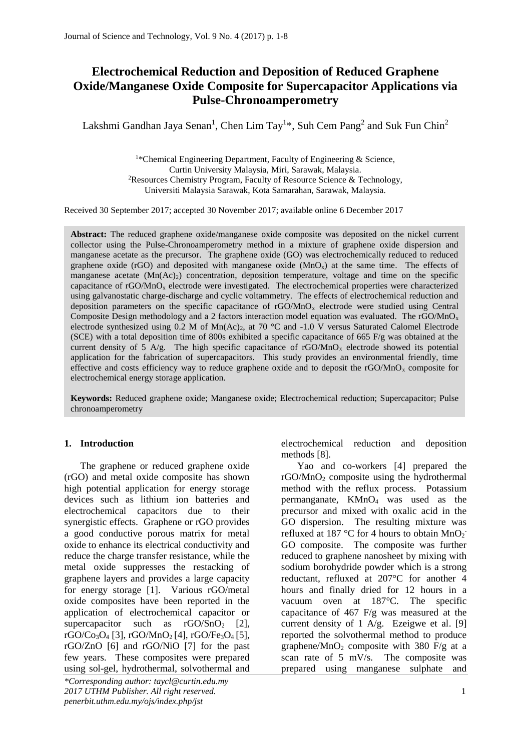# **Electrochemical Reduction and Deposition of Reduced Graphene Oxide/Manganese Oxide Composite for Supercapacitor Applications via Pulse-Chronoamperometry**

Lakshmi Gandhan Jaya Senan<sup>1</sup>, Chen Lim Tay<sup>1\*</sup>, Suh Cem Pang<sup>2</sup> and Suk Fun Chin<sup>2</sup>

<sup>1\*</sup>Chemical Engineering Department, Faculty of Engineering & Science, Curtin University Malaysia, Miri, Sarawak, Malaysia. <sup>2</sup>Resources Chemistry Program, Faculty of Resource Science & Technology, Universiti Malaysia Sarawak, Kota Samarahan, Sarawak, Malaysia.

Received 30 September 2017; accepted 30 November 2017; available online 6 December 2017

**Abstract:** The reduced graphene oxide/manganese oxide composite was deposited on the nickel current collector using the Pulse-Chronoamperometry method in a mixture of graphene oxide dispersion and manganese acetate as the precursor. The graphene oxide (GO) was electrochemically reduced to reduced graphene oxide (rGO) and deposited with manganese oxide  $(MnO<sub>x</sub>)$  at the same time. The effects of manganese acetate (Mn(Ac)<sub>2</sub>) concentration, deposition temperature, voltage and time on the specific capacitance of rGO/MnO<sub>x</sub> electrode were investigated. The electrochemical properties were characterized using galvanostatic charge-discharge and cyclic voltammetry. The effects of electrochemical reduction and deposition parameters on the specific capacitance of rGO/MnO<sup>x</sup> electrode were studied using Central Composite Design methodology and a 2 factors interaction model equation was evaluated. The rGO/MnO<sub>x</sub> electrode synthesized using 0.2 M of Mn(Ac)<sub>2</sub>, at 70 °C and -1.0 V versus Saturated Calomel Electrode (SCE) with a total deposition time of 800s exhibited a specific capacitance of 665 F/g was obtained at the current density of 5 A/g. The high specific capacitance of  $\rm rGO/MnO_x$  electrode showed its potential application for the fabrication of supercapacitors. This study provides an environmental friendly, time effective and costs efficiency way to reduce graphene oxide and to deposit the  $rGOMnO<sub>x</sub>$  composite for electrochemical energy storage application.

**Keywords:** Reduced graphene oxide; Manganese oxide; Electrochemical reduction; Supercapacitor; Pulse chronoamperometry

## **1. Introduction**

The graphene or reduced graphene oxide (rGO) and metal oxide composite has shown high potential application for energy storage devices such as lithium ion batteries and electrochemical capacitors due to their synergistic effects. Graphene or rGO provides a good conductive porous matrix for metal oxide to enhance its electrical conductivity and reduce the charge transfer resistance, while the metal oxide suppresses the restacking of graphene layers and provides a large capacity for energy storage [1]. Various rGO/metal oxide composites have been reported in the application of electrochemical capacitor or supercapacitor such as  $rGO/SnO<sub>2</sub> [2]$ ,  $rGO/C_{03}O_4$  [3],  $rGO/MnO_2$  [4],  $rGO/Fe_3O_4$  [5], rGO/ZnO [6] and rGO/NiO [7] for the past few years. These composites were prepared using sol-gel, hydrothermal, solvothermal and

*\*Corresponding author[: taycl@curtin.edu.my](mailto:taycl@curtin.edu.my) 2017 UTHM Publisher. All right reserved.* 1 *penerbit.uthm.edu.my/ojs/index.php/jst*

electrochemical reduction and deposition methods [8].

Yao and co-workers [4] prepared the  $rGOMnO<sub>2</sub>$  composite using the hydrothermal method with the reflux process. Potassium permanganate,  $KMnO<sub>4</sub>$  was used as the precursor and mixed with oxalic acid in the GO dispersion. The resulting mixture was refluxed at 187 °C for 4 hours to obtain  $MnO<sub>2</sub>$ GO composite. The composite was further reduced to graphene nanosheet by mixing with sodium borohydride powder which is a strong reductant, refluxed at 207°C for another 4 hours and finally dried for 12 hours in a vacuum oven at 187°C. The specific capacitance of 467 F/g was measured at the current density of 1 A/g. Ezeigwe et al. [9] reported the solvothermal method to produce graphene/MnO<sub>2</sub> composite with 380 F/g at a scan rate of 5 mV/s. The composite was prepared using manganese sulphate and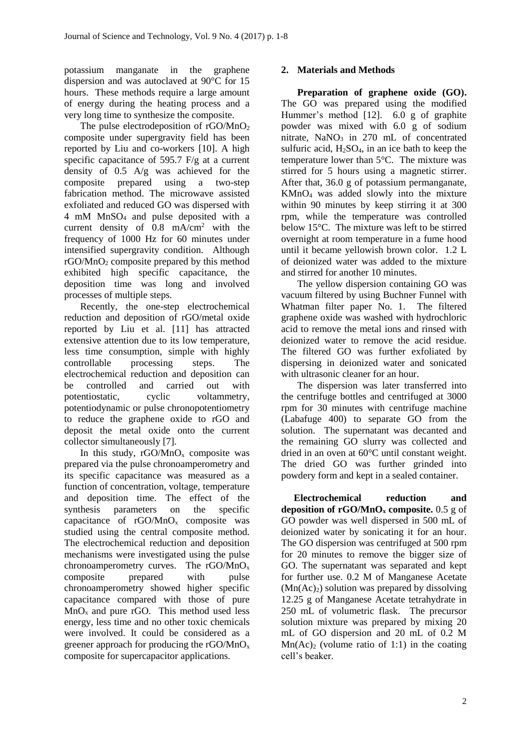potassium manganate in the graphene dispersion and was autoclaved at 90°C for 15 hours. These methods require a large amount of energy during the heating process and a very long time to synthesize the composite.

The pulse electrodeposition of rGO/MnO<sub>2</sub> composite under supergravity field has been reported by Liu and co-workers [10]. A high specific capacitance of 595.7 F/g at a current density of 0.5 A/g was achieved for the composite prepared using a two-step fabrication method. The microwave assisted exfoliated and reduced GO was dispersed with 4 mM MnSO<sup>4</sup> and pulse deposited with a current density of 0.8 mA/cm<sup>2</sup> with the frequency of 1000 Hz for 60 minutes under intensified supergravity condition. Although  $rGOMnO<sub>2</sub>$  composite prepared by this method exhibited high specific capacitance, the deposition time was long and involved processes of multiple steps.

Recently, the one-step electrochemical reduction and deposition of rGO/metal oxide reported by Liu et al. [11] has attracted extensive attention due to its low temperature, less time consumption, simple with highly controllable processing steps. The electrochemical reduction and deposition can be controlled and carried out with potentiostatic, cyclic voltammetry, potentiodynamic or pulse chronopotentiometry to reduce the graphene oxide to rGO and deposit the metal oxide onto the current collector simultaneously [7].

In this study,  $rGO/MnO<sub>x</sub>$  composite was prepared via the pulse chronoamperometry and its specific capacitance was measured as a function of concentration, voltage, temperature and deposition time. The effect of the synthesis parameters on the specific capacitance of rGO/MnO<sup>x</sup> composite was studied using the central composite method. The electrochemical reduction and deposition mechanisms were investigated using the pulse chronoamperometry curves. The rGO/MnO<sup>x</sup> composite prepared with pulse chronoamperometry showed higher specific capacitance compared with those of pure  $MnO<sub>x</sub>$  and pure rGO. This method used less energy, less time and no other toxic chemicals were involved. It could be considered as a greener approach for producing the rGO/MnO<sup>x</sup> composite for supercapacitor applications.

# **2. Materials and Methods**

**Preparation of graphene oxide (GO).**  The GO was prepared using the modified Hummer's method [12]. 6.0 g of graphite powder was mixed with 6.0 g of sodium nitrate, NaNO<sub>3</sub> in 270 mL of concentrated sulfuric acid,  $H_2SO_4$ , in an ice bath to keep the temperature lower than 5°C. The mixture was stirred for 5 hours using a magnetic stirrer. After that, 36.0 g of potassium permanganate, KMnO<sup>4</sup> was added slowly into the mixture within 90 minutes by keep stirring it at 300 rpm, while the temperature was controlled below 15°C. The mixture was left to be stirred overnight at room temperature in a fume hood until it became yellowish brown color. 1.2 L of deionized water was added to the mixture and stirred for another 10 minutes.

The yellow dispersion containing GO was vacuum filtered by using Buchner Funnel with Whatman filter paper No. 1. The filtered graphene oxide was washed with hydrochloric acid to remove the metal ions and rinsed with deionized water to remove the acid residue. The filtered GO was further exfoliated by dispersing in deionized water and sonicated with ultrasonic cleaner for an hour.

The dispersion was later transferred into the centrifuge bottles and centrifuged at 3000 rpm for 30 minutes with centrifuge machine (Labafuge 400) to separate GO from the solution. The supernatant was decanted and the remaining GO slurry was collected and dried in an oven at 60°C until constant weight. The dried GO was further grinded into powdery form and kept in a sealed container.

**Electrochemical reduction and deposition of rGO/MnO<sup>x</sup> composite.** 0.5 g of GO powder was well dispersed in 500 mL of deionized water by sonicating it for an hour. The GO dispersion was centrifuged at 500 rpm for 20 minutes to remove the bigger size of GO. The supernatant was separated and kept for further use. 0.2 M of Manganese Acetate  $(Mn(Ac)_2)$  solution was prepared by dissolving 12.25 g of Manganese Acetate tetrahydrate in 250 mL of volumetric flask. The precursor solution mixture was prepared by mixing 20 mL of GO dispersion and 20 mL of 0.2 M  $Mn(Ac)$ <sub>2</sub> (volume ratio of 1:1) in the coating cell's beaker.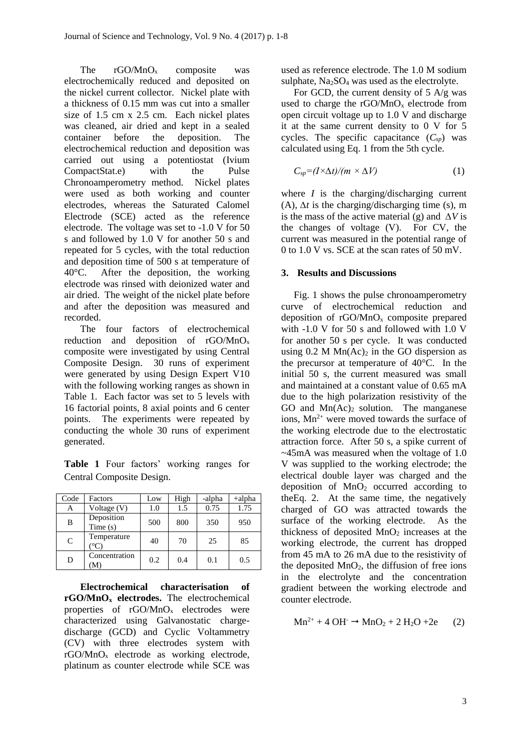The rGO/MnO<sub>x</sub> composite was electrochemically reduced and deposited on the nickel current collector. Nickel plate with a thickness of 0.15 mm was cut into a smaller size of 1.5 cm x 2.5 cm. Each nickel plates was cleaned, air dried and kept in a sealed container before the deposition. The electrochemical reduction and deposition was carried out using a potentiostat (Ivium CompactStat.e) with the Pulse Chronoamperometry method. Nickel plates were used as both working and counter electrodes, whereas the Saturated Calomel Electrode (SCE) acted as the reference electrode. The voltage was set to -1.0 V for 50 s and followed by 1.0 V for another 50 s and repeated for 5 cycles, with the total reduction and deposition time of 500 s at temperature of 40°C. After the deposition, the working electrode was rinsed with deionized water and air dried. The weight of the nickel plate before and after the deposition was measured and recorded.

The four factors of electrochemical reduction and deposition of rGO/MnO<sup>x</sup> composite were investigated by using Central Composite Design. 30 runs of experiment were generated by using Design Expert V10 with the following working ranges as shown in Table 1. Each factor was set to 5 levels with 16 factorial points, 8 axial points and 6 center points. The experiments were repeated by conducting the whole 30 runs of experiment generated.

|                           |  |  |  | <b>Table 1</b> Four factors' working ranges for |  |  |  |
|---------------------------|--|--|--|-------------------------------------------------|--|--|--|
| Central Composite Design. |  |  |  |                                                 |  |  |  |

| Code          | Factors               | Low | High | -alpha | $+alpha$ |
|---------------|-----------------------|-----|------|--------|----------|
| А             | Voltage (V)           | 1.0 | 1.5  | 0.75   | 1.75     |
| B             | Deposition<br>Time(s) | 500 | 800  | 350    | 950      |
| $\mathcal{C}$ | Temperature           | 40  | 70   | 25     | 85       |
| D             | Concentration<br>M    | 0.2 | 0.4  | 0.1    | 0.5      |

**Electrochemical characterisation of rGO/MnO<sup>x</sup> electrodes.** The electrochemical properties of  $rGO/MnO_x$  electrodes were characterized using Galvanostatic chargedischarge (GCD) and Cyclic Voltammetry (CV) with three electrodes system with rGO/MnO<sup>x</sup> electrode as working electrode, platinum as counter electrode while SCE was used as reference electrode. The 1.0 M sodium sulphate,  $Na<sub>2</sub>SO<sub>4</sub>$  was used as the electrolyte.

For GCD, the current density of  $5 \text{ A/g}$  was used to charge the  $rGO/MnO_x$  electrode from open circuit voltage up to 1.0 V and discharge it at the same current density to 0 V for 5 cycles. The specific capacitance  $(C_{\text{sp}})$  was calculated using Eq. 1 from the 5th cycle.

$$
C_{sp} = (I \times \Delta t) / (m \times \Delta V) \tag{1}
$$

where  $I$  is the charging/discharging current (A), *∆t* is the charging/discharging time (s), m is the mass of the active material (g) and *∆V* is the changes of voltage (V). For CV, the current was measured in the potential range of 0 to 1.0 V vs. SCE at the scan rates of 50 mV.

#### **3. Results and Discussions**

Fig. 1 shows the pulse chronoamperometry curve of electrochemical reduction and deposition of  $rGOMnO<sub>x</sub>$  composite prepared with -1.0 V for 50 s and followed with 1.0 V for another 50 s per cycle. It was conducted using  $0.2$  M Mn(Ac)<sub>2</sub> in the GO dispersion as the precursor at temperature of 40°C. In the initial 50 s, the current measured was small and maintained at a constant value of 0.65 mA due to the high polarization resistivity of the GO and  $Mn(Ac)$ <sub>2</sub> solution. The manganese ions,  $Mn^{2+}$  were moved towards the surface of the working electrode due to the electrostatic attraction force. After 50 s, a spike current of ~45mA was measured when the voltage of 1.0 V was supplied to the working electrode; the electrical double layer was charged and the deposition of  $MnO<sub>2</sub>$  occurred according to theEq. 2. At the same time, the negatively charged of GO was attracted towards the surface of the working electrode. As the thickness of deposited  $MnO<sub>2</sub>$  increases at the working electrode, the current has dropped from 45 mA to 26 mA due to the resistivity of the deposited  $MnO<sub>2</sub>$ , the diffusion of free ions in the electrolyte and the concentration gradient between the working electrode and counter electrode.

$$
Mn^{2+} + 4 \text{ OH}^- \rightarrow MnO_2 + 2 \text{ H}_2\text{O} + 2e \qquad (2)
$$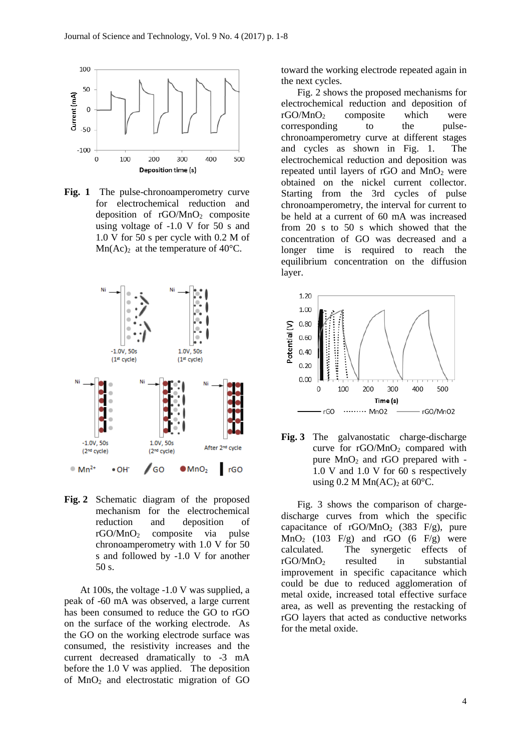

**Fig. 1** The pulse-chronoamperometry curve for electrochemical reduction and deposition of  $rGOMnO<sub>2</sub>$  composite using voltage of -1.0 V for 50 s and 1.0 V for 50 s per cycle with 0.2 M of  $Mn(Ac)<sub>2</sub>$  at the temperature of 40°C.



**Fig. 2** Schematic diagram of the proposed mechanism for the electrochemical reduction and deposition of rGO/MnO<sup>2</sup> composite via pulse chronoamperometry with 1.0 V for 50 s and followed by -1.0 V for another 50 s.

At 100s, the voltage -1.0 V was supplied, a peak of -60 mA was observed, a large current has been consumed to reduce the GO to rGO on the surface of the working electrode. As the GO on the working electrode surface was consumed, the resistivity increases and the current decreased dramatically to -3 mA before the 1.0 V was applied. The deposition of MnO<sup>2</sup> and electrostatic migration of GO

toward the working electrode repeated again in the next cycles.

Fig. 2 shows the proposed mechanisms for electrochemical reduction and deposition of  $r\text{GO/MnO}_2$  composite which were corresponding to the pulsechronoamperometry curve at different stages and cycles as shown in Fig. 1. The electrochemical reduction and deposition was repeated until layers of  $rGO$  and  $MnO<sub>2</sub>$  were obtained on the nickel current collector. Starting from the 3rd cycles of pulse chronoamperometry, the interval for current to be held at a current of 60 mA was increased from 20 s to 50 s which showed that the concentration of GO was decreased and a longer time is required to reach the equilibrium concentration on the diffusion layer.



**Fig. 3** The galvanostatic charge-discharge curve for rGO/MnO<sub>2</sub> compared with pure  $MnO<sub>2</sub>$  and rGO prepared with -1.0 V and 1.0 V for 60 s respectively using 0.2 M Mn(AC)<sub>2</sub> at 60 $^{\circ}$ C.

Fig. 3 shows the comparison of chargedischarge curves from which the specific capacitance of  $rGOMnO<sub>2</sub>$  (383 F/g), pure  $MnO<sub>2</sub>$  (103 F/g) and rGO (6 F/g) were calculated. The synergetic effects of rGO/MnO<sup>2</sup> resulted in substantial improvement in specific capacitance which could be due to reduced agglomeration of metal oxide, increased total effective surface area, as well as preventing the restacking of rGO layers that acted as conductive networks for the metal oxide.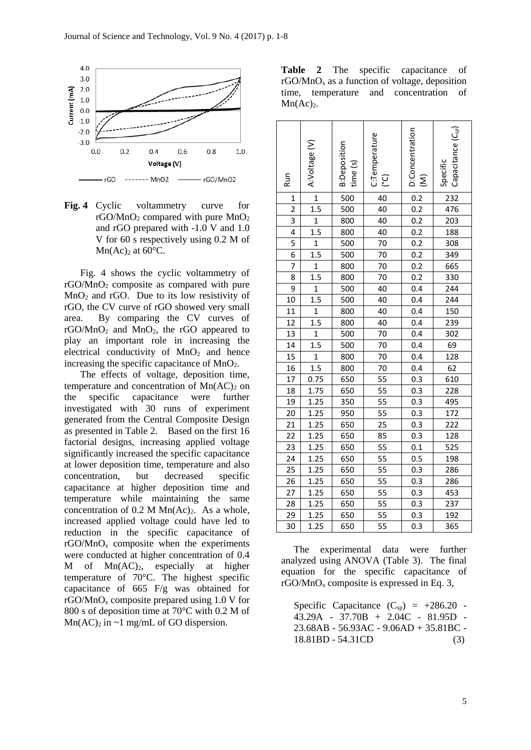

**Fig. 4** Cyclic voltammetry curve for  $rGO/MnO<sub>2</sub>$  compared with pure  $MnO<sub>2</sub>$ and rGO prepared with -1.0 V and 1.0 V for 60 s respectively using 0.2 M of Mn(Ac)<sub>2</sub> at  $60^{\circ}$ C.

Fig. 4 shows the cyclic voltammetry of rGO/MnO<sup>2</sup> composite as compared with pure MnO<sup>2</sup> and rGO. Due to its low resistivity of rGO, the CV curve of rGO showed very small area. By comparing the CV curves of rGO/MnO<sub>2</sub> and MnO<sub>2</sub>, the rGO appeared to play an important role in increasing the electrical conductivity of  $MnO<sub>2</sub>$  and hence increasing the specific capacitance of MnO2.

The effects of voltage, deposition time, temperature and concentration of  $Mn(AC)_2$  on the specific capacitance were further investigated with 30 runs of experiment generated from the Central Composite Design as presented in Table 2. Based on the first 16 factorial designs, increasing applied voltage significantly increased the specific capacitance at lower deposition time, temperature and also concentration, but decreased specific capacitance at higher deposition time and temperature while maintaining the same concentration of  $0.2$  M Mn(Ac)<sub>2</sub>. As a whole, increased applied voltage could have led to reduction in the specific capacitance of  $r\text{GO/MnO}_x$  composite when the experiments were conducted at higher concentration of 0.4  $M$  of  $Mn(AC)<sub>2</sub>$ , especially at higher temperature of 70°C. The highest specific capacitance of 665 F/g was obtained for rGO/MnO<sub>x</sub> composite prepared using  $1.0 \text{ V}$  for 800 s of deposition time at 70°C with 0.2 M of  $Mn(AC)$ <sub>2</sub> in ~1 mg/mL of GO dispersion.

**Table 2** The specific capacitance of  $rGOMnO<sub>x</sub>$  as a function of voltage, deposition time, temperature and concentration of  $Mn(Ac)<sub>2</sub>$ .

| <b>Run</b>      | A:Voltage (V)           | <b>B:Deposition</b><br>time (s) | C:Temperature<br>(၁) | D:Concentration<br>$\widehat{\boldsymbol{\Sigma}}$ | $\mathsf{Capacitance}\left(\mathcal{C}_{\mathsf{sp}}\right)$<br>Specific |
|-----------------|-------------------------|---------------------------------|----------------------|----------------------------------------------------|--------------------------------------------------------------------------|
| $\mathbf{1}$    | $\overline{1}$          | 500                             | $\overline{40}$      | $\overline{0.2}$                                   | 232                                                                      |
| $\overline{2}$  | $\overline{1.5}$        | 500                             | 40                   | $\overline{0.2}$                                   | 476                                                                      |
| $\overline{3}$  | $\overline{1}$          | 800                             | $\overline{40}$      | $\overline{0.2}$                                   | 203                                                                      |
| 4               | $\overline{1.5}$        | 800                             | 40                   | 0.2                                                | 188                                                                      |
| $\overline{5}$  | $\overline{1}$          | $\frac{1}{500}$                 | 70                   | $\overline{0.2}$                                   | 308                                                                      |
| 6               | 1.5                     | 500                             | 70                   | $\overline{0.2}$                                   | 349                                                                      |
| 7               | $\overline{1}$          | 800                             | 70                   | 0.2                                                | 665                                                                      |
| 8               | $\overline{1.5}$        | 800                             | 70                   | 0.2                                                | 330                                                                      |
| 9               | $\overline{\mathbf{1}}$ | 500                             | 40                   | $\overline{0.4}$                                   | $\frac{1}{244}$                                                          |
| 10              | $\overline{1.5}$        | 500                             | 40                   | $\overline{0.4}$                                   | $\frac{244}{5}$                                                          |
| 11              | $\overline{1}$          | 800                             | 40                   | $\overline{0.4}$                                   | $\overline{150}$                                                         |
| 12              | $1.\overline{5}$        | 800                             | 40                   | $\overline{0.4}$                                   | 239                                                                      |
| $\overline{13}$ | $\overline{1}$          | 500                             | 70                   | $\overline{0.4}$                                   | 302                                                                      |
| $\overline{14}$ | 1.5                     | 500                             | 70                   | 0.4                                                | $\overline{69}$                                                          |
| $\overline{15}$ | $\mathbf{1}$            | 800                             | 70                   | 0.4                                                | 128                                                                      |
| 16              | 1.5                     | 800                             | 70                   | 0.4                                                | 62                                                                       |
| 17              | 0.75                    | 650                             | 55                   | 0.3                                                | 610                                                                      |
| $\overline{18}$ | 1.75                    | 650                             | 55                   | $\overline{0.3}$                                   | 228                                                                      |
| 19              | 1.25                    | 350                             | $\overline{55}$      | 0.3                                                | 495                                                                      |
| $\overline{20}$ | 1.25                    | 950                             | $\overline{55}$      | $\overline{0.3}$                                   | 172                                                                      |
| 21              | 1.25                    | 650                             | $\overline{25}$      | $\overline{0.3}$                                   | $\overline{222}$                                                         |
| 22              | 1.25                    | 650                             | 85                   | 0.3                                                | 128                                                                      |
| 23              | 1.25                    | 650                             | $\overline{55}$      | 0.1                                                | 525                                                                      |
| $\overline{24}$ | 1.25                    | 650                             | $\overline{55}$      | 0.5                                                | 198                                                                      |
| 25              | 1.25                    | 650                             | $\overline{55}$      | $\overline{0.3}$                                   | 286                                                                      |
| $\overline{26}$ | 1.25                    | 650                             | $\overline{55}$      | 0.3                                                | 286                                                                      |
| 27              | 1.25                    | 650                             | $\overline{55}$      | 0.3                                                | 453                                                                      |
| $\overline{28}$ | 1.25                    | 650                             | $\overline{55}$      | $0.\overline{3}$                                   | $\frac{1}{237}$                                                          |
| 29              | 1.25                    | 650                             | 55                   | 0.3                                                | 192                                                                      |
| 30              | 1.25                    | 650                             | $\overline{55}$      | 0.3                                                | 365                                                                      |

The experimental data were further analyzed using ANOVA (Table 3). The final equation for the specific capacitance of  $rGO/MnO<sub>x</sub>$  composite is expressed in Eq. 3,

Specific Capacitance  $(C_{sp}) = +286.20$ 43.29A - 37.70B + 2.04C - 81.95D - 23.68AB - 56.93AC - 9.06AD + 35.81BC - 18.81BD - 54.31CD (3)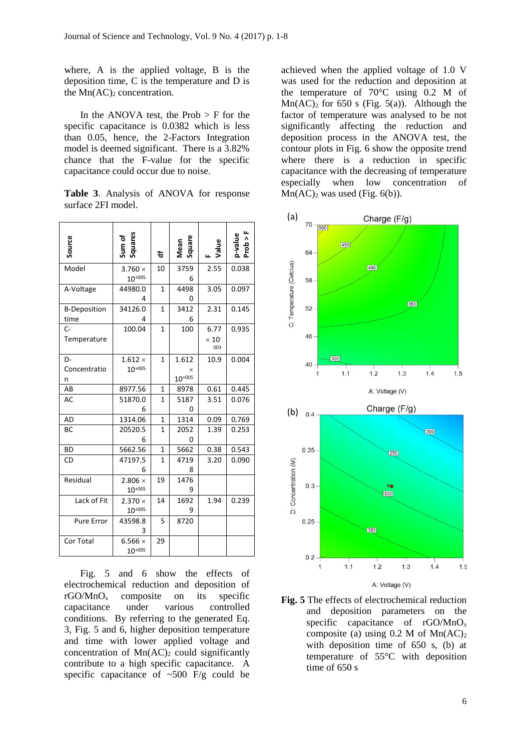where, A is the applied voltage, B is the deposition time, C is the temperature and D is the  $Mn(AC)_2$  concentration.

In the ANOVA test, the Prob  $>$  F for the specific capacitance is 0.0382 which is less than 0.05, hence, the 2-Factors Integration model is deemed significant. There is a 3.82% chance that the F-value for the specific capacitance could occur due to noise.

|  |                    | <b>Table 3.</b> Analysis of ANOVA for response |  |
|--|--------------------|------------------------------------------------|--|
|  | surface 2FI model. |                                                |  |

| Source                      | Squares<br>Sum of             | ቴ              | Square<br>Mean            | Value                          | p-value<br>Prob > F |
|-----------------------------|-------------------------------|----------------|---------------------------|--------------------------------|---------------------|
| Model                       | $3.760 \times$<br>$10^{+005}$ | 10             | 3759<br>6                 | 2.55                           | 0.038               |
| A-Voltage                   | 44980.0<br>4                  | 1              | 4498<br>0                 | 3.05                           | 0.097               |
| <b>B-Deposition</b><br>time | 34126.0<br>Δ                  | $\mathbf{1}$   | 3412<br>6                 | 2.31                           | 0.145               |
| $C -$<br>Temperature        | 100.04                        | $\mathbf{1}$   | 100                       | 6.77<br>$\times 10^{-}$<br>003 | 0.935               |
| D-<br>Concentratio<br>n     | $1.612 \times$<br>$10^{+005}$ | $\mathbf{1}$   | 1.612<br>X<br>$10^{+005}$ | 10.9                           | 0.004               |
| AB                          | 8977.56                       | 1              | 8978                      | 0.61                           | 0.445               |
| AC                          | 51870.0<br>6                  | $\mathbf{1}$   | 5187<br>0                 | 3.51                           | 0.076               |
| AD                          | 1314.06                       | $\mathbf{1}$   | 1314                      | 0.09                           | 0.769               |
| BC                          | 20520.5<br>6                  | $\mathbf{1}$   | 2052<br>0                 | 1.39                           | 0.253               |
| <b>BD</b>                   | 5662.56                       | $\overline{1}$ | 5662                      | 0.38                           | 0.543               |
| CD                          | 47197.5<br>6                  | 1              | 4719<br>8                 | 3.20                           | 0.090               |
| Residual                    | 2.806 $\times$<br>$10^{+005}$ | 19             | 1476<br>9                 |                                |                     |
| Lack of Fit                 | $2.370 \times$<br>$10^{+005}$ | 14             | 1692<br>9                 | 1.94                           | 0.239               |
| Pure Error                  | 43598.8<br>3                  | 5              | 8720                      |                                |                     |
| Cor Total                   | 6.566 $\times$<br>$10^{+005}$ | 29             |                           |                                |                     |

Fig. 5 and 6 show the effects of electrochemical reduction and deposition of rGO/MnO<sup>x</sup> composite on its specific capacitance under various controlled conditions. By referring to the generated Eq. 3, Fig. 5 and 6, higher deposition temperature and time with lower applied voltage and concentration of  $Mn(AC)$  could significantly contribute to a high specific capacitance. A specific capacitance of  $~500$  F/g could be

achieved when the applied voltage of 1.0 V was used for the reduction and deposition at the temperature of 70°C using 0.2 M of  $Mn(AC)$ <sub>2</sub> for 650 s (Fig. 5(a)). Although the factor of temperature was analysed to be not significantly affecting the reduction and deposition process in the ANOVA test, the contour plots in Fig. 6 show the opposite trend where there is a reduction in specific capacitance with the decreasing of temperature especially when low concentration of  $Mn(AC)_2$  was used (Fig. 6(b)).



**Fig. 5** The effects of electrochemical reduction and deposition parameters on the specific capacitance of rGO/MnO<sub>x</sub> composite (a) using  $0.2$  M of Mn(AC)<sub>2</sub> with deposition time of 650 s, (b) at temperature of 55°C with deposition time of 650 s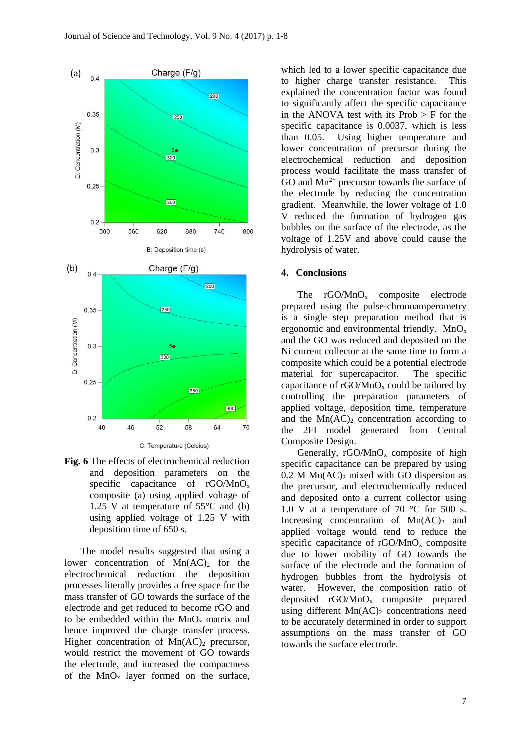

**Fig. 6** The effects of electrochemical reduction and deposition parameters on the specific capacitance of rGO/MnO<sub>x</sub> composite (a) using applied voltage of 1.25 V at temperature of  $55^{\circ}$ C and (b) using applied voltage of 1.25 V with deposition time of 650 s.

The model results suggested that using a lower concentration of  $Mn(AC)$  for the electrochemical reduction the deposition processes literally provides a free space for the mass transfer of GO towards the surface of the electrode and get reduced to become rGO and to be embedded within the  $MnO_x$  matrix and hence improved the charge transfer process. Higher concentration of  $Mn(AC)$ <sub>2</sub> precursor, would restrict the movement of GO towards the electrode, and increased the compactness of the  $MnO_x$  layer formed on the surface,

which led to a lower specific capacitance due to higher charge transfer resistance. This explained the concentration factor was found to significantly affect the specific capacitance in the ANOVA test with its  $Prob > F$  for the specific capacitance is 0.0037, which is less than 0.05. Using higher temperature and lower concentration of precursor during the electrochemical reduction and deposition process would facilitate the mass transfer of GO and  $Mn^{2+}$  precursor towards the surface of the electrode by reducing the concentration gradient. Meanwhile, the lower voltage of 1.0 V reduced the formation of hydrogen gas bubbles on the surface of the electrode, as the voltage of 1.25V and above could cause the hydrolysis of water.

#### **4. Conclusions**

The  $rGO/MnO_x$  composite electrode prepared using the pulse-chronoamperometry is a single step preparation method that is ergonomic and environmental friendly.  $MnO<sub>x</sub>$ and the GO was reduced and deposited on the Ni current collector at the same time to form a composite which could be a potential electrode material for supercapacitor. The specific capacitance of  $rGOMnO<sub>x</sub>$  could be tailored by controlling the preparation parameters of applied voltage, deposition time, temperature and the  $Mn(AC)_2$  concentration according to the 2FI model generated from Central Composite Design.

Generally,  $rGOMnO<sub>x</sub>$  composite of high specific capacitance can be prepared by using  $0.2$  M Mn(AC)<sub>2</sub> mixed with GO dispersion as the precursor, and electrochemically reduced and deposited onto a current collector using 1.0 V at a temperature of 70  $\degree$ C for 500 s. Increasing concentration of  $Mn(AC)_2$  and applied voltage would tend to reduce the specific capacitance of  $rGOMnO<sub>x</sub>$  composite due to lower mobility of GO towards the surface of the electrode and the formation of hydrogen bubbles from the hydrolysis of water. However, the composition ratio of deposited rGO/MnO<sup>x</sup> composite prepared using different  $Mn(AC)_2$  concentrations need to be accurately determined in order to support assumptions on the mass transfer of GO towards the surface electrode.